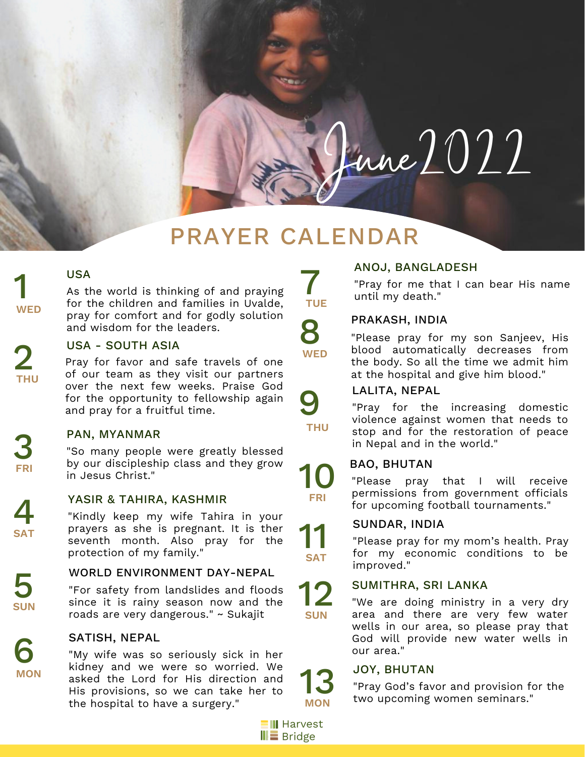# $\mu$ une $2022$

## PRAYER CALENDAR

#### USA

As the world is thinking of and praying for the children and families in Uvalde, pray for comfort and for godly solution and wisdom for the leaders.

#### USA - SOUTH ASIA

Pray for favor and safe travels of one of our team as they visit our partners over the next few weeks. Praise God for the opportunity to fellowship again and pray for a fruitful time.

#### PAN, MYANMAR

"So many people were greatly blessed by our discipleship class and they grow in Jesus Christ."

YASIR & TAHIRA, KASHMIR<br>"Kindly keep my wife Tahira in your prayers as she is pregnant. It is ther seventh month. Also pray for the protection of my family."

## WORLD ENVIRONMENT DAY-NEPAL<br>"For safety from landslides and floods

since it is rainy season now and the roads are very dangerous." ~ Sukajit

#### SATISH, NEPAL

"My wife was so seriously sick in her kidney and we were so worried. We asked the Lord for His direction and His provisions, so we can take her to the hospital to have a surgery."

### ANOJ, BANGLADESH

"Pray for me that I can bear His name until my death."

#### PRAKASH, INDIA

"Please pray for my son Sanjeev, His blood automatically decreases from the body. So all the time we admit him at the hospital and give him blood."



10

**FRI**

11

**SAT**

12

**SUN**

**TUE** 

8

**WED**

#### LALITA, NEPAL

"Pray for the increasing domestic violence against women that needs to stop and for the restoration of peace in Nepal and in the world."

#### BAO, BHUTAN

"Please pray that I will receive permissions from government officials for upcoming football tournaments."

#### SUNDAR, INDIA

"Please pray for my mom's health. Pray for my economic conditions to be improved."

#### SUMITHRA, SRI LANKA

"We are doing ministry in a very dry area and there are very few water wells in our area, so please pray that God will provide new water wells in our area."

#### JOY, BHUTAN

"Pray God's favor and provision for the two upcoming women seminars." **MON**



13

3 **FRI**

1

**WED**

2

**THU**

**SAT**

**SUN**

6 **MON**